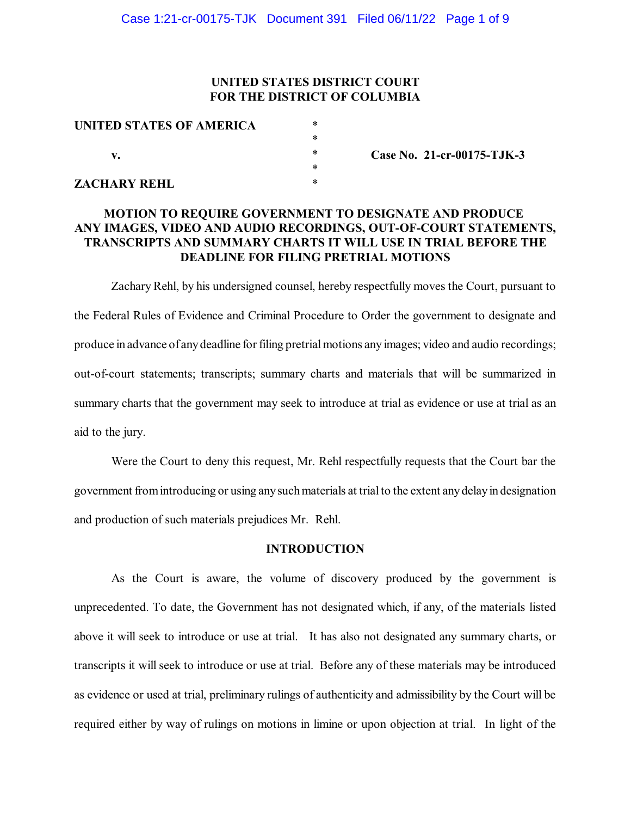## **UNITED STATES DISTRICT COURT FOR THE DISTRICT OF COLUMBIA**

| UNITED STATES OF AMERICA | $\ast$ |
|--------------------------|--------|
|                          | $\ast$ |
| v.                       | $\ast$ |
|                          | $\ast$ |
| ZACHARY REHL             | $\ast$ |

**Case No. 21-cr-00175-TJK-3**

# **MOTION TO REQUIRE GOVERNMENT TO DESIGNATE AND PRODUCE ANY IMAGES, VIDEO AND AUDIO RECORDINGS, OUT-OF-COURT STATEMENTS, TRANSCRIPTS AND SUMMARY CHARTS IT WILL USE IN TRIAL BEFORE THE DEADLINE FOR FILING PRETRIAL MOTIONS**

Zachary Rehl, by his undersigned counsel, hereby respectfully moves the Court, pursuant to the Federal Rules of Evidence and Criminal Procedure to Order the government to designate and produce in advance of any deadline for filing pretrial motions any images; video and audio recordings; out-of-court statements; transcripts; summary charts and materials that will be summarized in summary charts that the government may seek to introduce at trial as evidence or use at trial as an aid to the jury.

Were the Court to deny this request, Mr. Rehl respectfully requests that the Court bar the government fromintroducing or using anysuchmaterials at trialto the extent anydelayin designation and production of such materials prejudices Mr. Rehl.

## **INTRODUCTION**

As the Court is aware, the volume of discovery produced by the government is unprecedented. To date, the Government has not designated which, if any, of the materials listed above it will seek to introduce or use at trial. It has also not designated any summary charts, or transcripts it willseek to introduce or use at trial. Before any of these materials may be introduced as evidence or used at trial, preliminary rulings of authenticity and admissibility by the Court will be required either by way of rulings on motions in limine or upon objection at trial. In light of the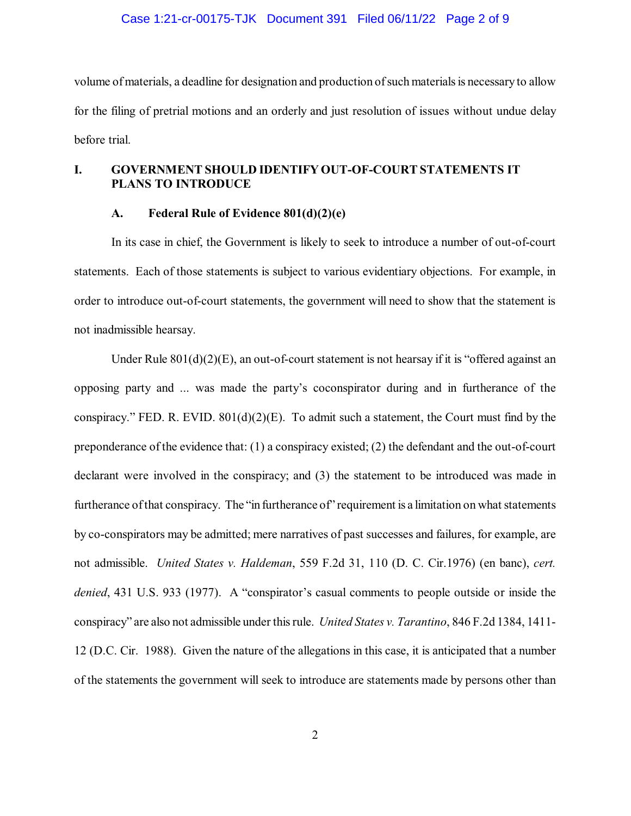#### Case 1:21-cr-00175-TJK Document 391 Filed 06/11/22 Page 2 of 9

volume ofmaterials, a deadline for designation and production ofsuch materialsis necessary to allow for the filing of pretrial motions and an orderly and just resolution of issues without undue delay before trial.

# **I. GOVERNMENT SHOULD IDENTIFY OUT-OF-COURT STATEMENTS IT PLANS TO INTRODUCE**

### **A. Federal Rule of Evidence 801(d)(2)(e)**

In its case in chief, the Government is likely to seek to introduce a number of out-of-court statements. Each of those statements is subject to various evidentiary objections. For example, in order to introduce out-of-court statements, the government will need to show that the statement is not inadmissible hearsay.

Under Rule  $801(d)(2)(E)$ , an out-of-court statement is not hearsay if it is "offered against an opposing party and ... was made the party's coconspirator during and in furtherance of the conspiracy." FED. R. EVID.  $801(d)(2)(E)$ . To admit such a statement, the Court must find by the preponderance of the evidence that: (1) a conspiracy existed; (2) the defendant and the out-of-court declarant were involved in the conspiracy; and (3) the statement to be introduced was made in furtherance of that conspiracy. The "in furtherance of" requirement is a limitation on what statements by co-conspirators may be admitted; mere narratives of past successes and failures, for example, are not admissible. *United States v. Haldeman*, 559 F.2d 31, 110 (D. C. Cir.1976) (en banc), *cert. denied*, 431 U.S. 933 (1977). A "conspirator's casual comments to people outside or inside the conspiracy" are also not admissible under thisrule. *United States v. Tarantino*, 846 F.2d 1384, 1411- 12 (D.C. Cir. 1988). Given the nature of the allegations in this case, it is anticipated that a number of the statements the government will seek to introduce are statements made by persons other than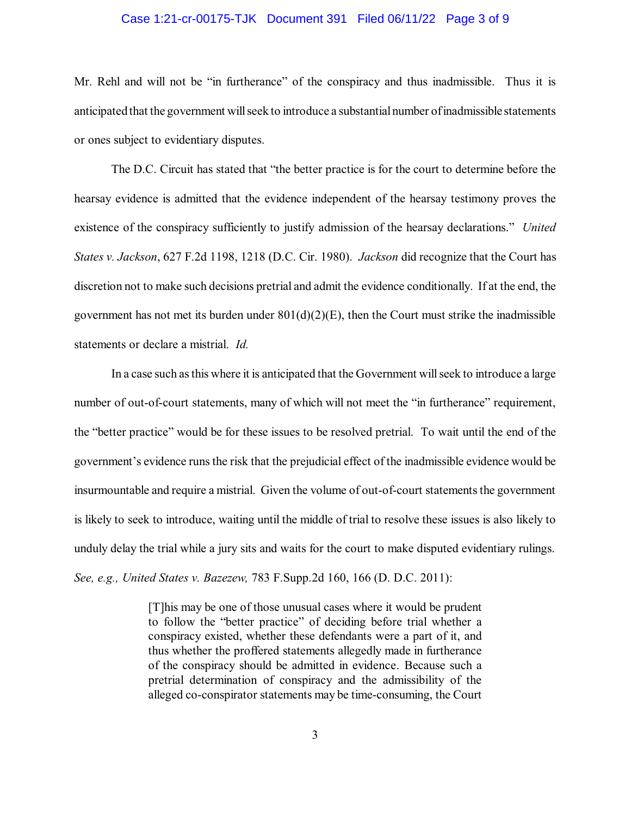### Case 1:21-cr-00175-TJK Document 391 Filed 06/11/22 Page 3 of 9

Mr. Rehl and will not be "in furtherance" of the conspiracy and thus inadmissible. Thus it is anticipated that the government willseek to introduce a substantialnumber ofinadmissible statements or ones subject to evidentiary disputes.

The D.C. Circuit has stated that "the better practice is for the court to determine before the hearsay evidence is admitted that the evidence independent of the hearsay testimony proves the existence of the conspiracy sufficiently to justify admission of the hearsay declarations." *United States v. Jackson*, 627 F.2d 1198, 1218 (D.C. Cir. 1980). *Jackson* did recognize that the Court has discretion not to make such decisions pretrial and admit the evidence conditionally. If at the end, the government has not met its burden under  $801(d)(2)(E)$ , then the Court must strike the inadmissible statements or declare a mistrial. *Id.*

In a case such asthis where it is anticipated that the Government willseek to introduce a large number of out-of-court statements, many of which will not meet the "in furtherance" requirement, the "better practice" would be for these issues to be resolved pretrial. To wait until the end of the government's evidence runsthe risk that the prejudicial effect of the inadmissible evidence would be insurmountable and require a mistrial. Given the volume of out-of-court statements the government is likely to seek to introduce, waiting until the middle of trial to resolve these issues is also likely to unduly delay the trial while a jury sits and waits for the court to make disputed evidentiary rulings. *See, e.g., United States v. Bazezew,* 783 F.Supp.2d 160, 166 (D. D.C. 2011):

> [T]his may be one of those unusual cases where it would be prudent to follow the "better practice" of deciding before trial whether a conspiracy existed, whether these defendants were a part of it, and thus whether the proffered statements allegedly made in furtherance of the conspiracy should be admitted in evidence. Because such a pretrial determination of conspiracy and the admissibility of the alleged co-conspirator statements may be time-consuming, the Court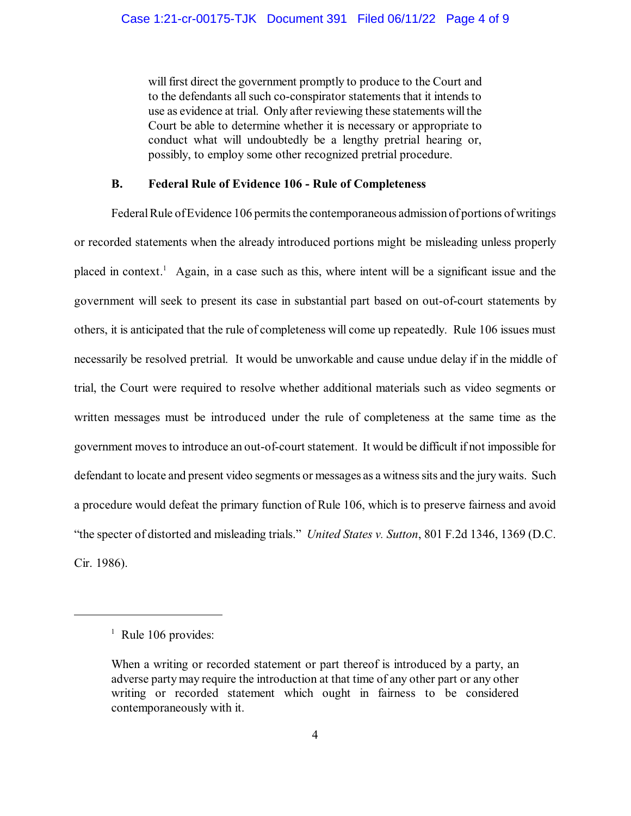will first direct the government promptly to produce to the Court and to the defendants all such co-conspirator statements that it intends to use as evidence at trial. Only after reviewing these statements will the Court be able to determine whether it is necessary or appropriate to conduct what will undoubtedly be a lengthy pretrial hearing or, possibly, to employ some other recognized pretrial procedure.

## **B. Federal Rule of Evidence 106 - Rule of Completeness**

Federal Rule of Evidence 106 permits the contemporaneous admission of portions of writings or recorded statements when the already introduced portions might be misleading unless properly placed in context.<sup>1</sup> Again, in a case such as this, where intent will be a significant issue and the government will seek to present its case in substantial part based on out-of-court statements by others, it is anticipated that the rule of completeness will come up repeatedly. Rule 106 issues must necessarily be resolved pretrial. It would be unworkable and cause undue delay if in the middle of trial, the Court were required to resolve whether additional materials such as video segments or written messages must be introduced under the rule of completeness at the same time as the government moves to introduce an out-of-court statement. It would be difficult if not impossible for defendant to locate and present video segments or messages as a witness sits and the jury waits. Such a procedure would defeat the primary function of Rule 106, which is to preserve fairness and avoid "the specter of distorted and misleading trials." *United States v. Sutton*, 801 F.2d 1346, 1369 (D.C. Cir. 1986).

 $<sup>1</sup>$  Rule 106 provides:</sup>

When a writing or recorded statement or part thereof is introduced by a party, an adverse partymay require the introduction at that time of any other part or any other writing or recorded statement which ought in fairness to be considered contemporaneously with it.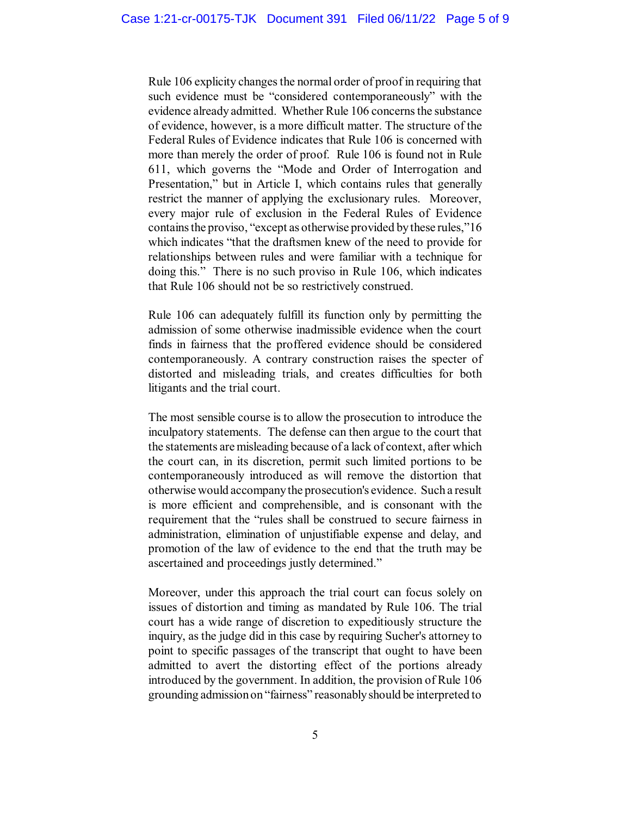Rule 106 explicity changes the normal order of proof in requiring that such evidence must be "considered contemporaneously" with the evidence already admitted. Whether Rule 106 concerns the substance of evidence, however, is a more difficult matter. The structure of the Federal Rules of Evidence indicates that Rule 106 is concerned with more than merely the order of proof. Rule 106 is found not in Rule 611, which governs the "Mode and Order of Interrogation and Presentation," but in Article I, which contains rules that generally restrict the manner of applying the exclusionary rules. Moreover, every major rule of exclusion in the Federal Rules of Evidence containsthe proviso, "except as otherwise provided bythese rules,"16 which indicates "that the draftsmen knew of the need to provide for relationships between rules and were familiar with a technique for doing this." There is no such proviso in Rule 106, which indicates that Rule 106 should not be so restrictively construed.

Rule 106 can adequately fulfill its function only by permitting the admission of some otherwise inadmissible evidence when the court finds in fairness that the proffered evidence should be considered contemporaneously. A contrary construction raises the specter of distorted and misleading trials, and creates difficulties for both litigants and the trial court.

The most sensible course is to allow the prosecution to introduce the inculpatory statements. The defense can then argue to the court that the statements are misleading because of a lack of context, after which the court can, in its discretion, permit such limited portions to be contemporaneously introduced as will remove the distortion that otherwise would accompanythe prosecution's evidence. Such a result is more efficient and comprehensible, and is consonant with the requirement that the "rules shall be construed to secure fairness in administration, elimination of unjustifiable expense and delay, and promotion of the law of evidence to the end that the truth may be ascertained and proceedings justly determined."

Moreover, under this approach the trial court can focus solely on issues of distortion and timing as mandated by Rule 106. The trial court has a wide range of discretion to expeditiously structure the inquiry, as the judge did in this case by requiring Sucher's attorney to point to specific passages of the transcript that ought to have been admitted to avert the distorting effect of the portions already introduced by the government. In addition, the provision of Rule 106 grounding admissionon "fairness" reasonablyshould be interpreted to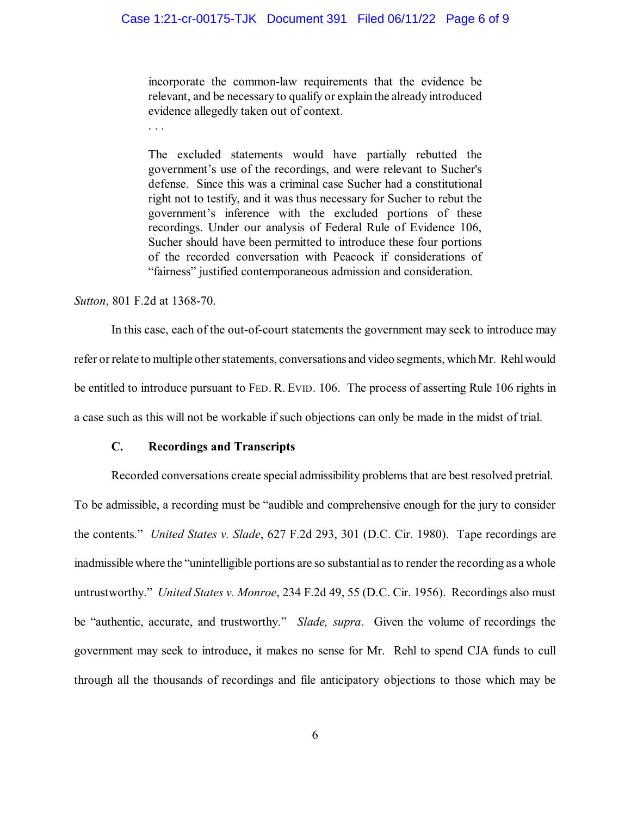## Case 1:21-cr-00175-TJK Document 391 Filed 06/11/22 Page 6 of 9

incorporate the common-law requirements that the evidence be relevant, and be necessary to qualify or explain the already introduced evidence allegedly taken out of context.

The excluded statements would have partially rebutted the government's use of the recordings, and were relevant to Sucher's defense. Since this was a criminal case Sucher had a constitutional right not to testify, and it was thus necessary for Sucher to rebut the government's inference with the excluded portions of these recordings. Under our analysis of Federal Rule of Evidence 106, Sucher should have been permitted to introduce these four portions of the recorded conversation with Peacock if considerations of "fairness" justified contemporaneous admission and consideration.

*Sutton*, 801 F.2d at 1368-70.

. . .

In this case, each of the out-of-court statements the government may seek to introduce may refer or relate to multiple other statements, conversations and video segments, whichMr. Rehlwould be entitled to introduce pursuant to FED. R. EVID. 106. The process of asserting Rule 106 rights in a case such as this will not be workable if such objections can only be made in the midst of trial.

## **C. Recordings and Transcripts**

Recorded conversations create special admissibility problems that are best resolved pretrial. To be admissible, a recording must be "audible and comprehensive enough for the jury to consider the contents." *United States v. Slade*, 627 F.2d 293, 301 (D.C. Cir. 1980). Tape recordings are inadmissible where the "unintelligible portions are so substantial asto render the recording as a whole untrustworthy." *United States v. Monroe*, 234 F.2d 49, 55 (D.C. Cir. 1956). Recordings also must be "authentic, accurate, and trustworthy." *Slade, supra*. Given the volume of recordings the government may seek to introduce, it makes no sense for Mr. Rehl to spend CJA funds to cull through all the thousands of recordings and file anticipatory objections to those which may be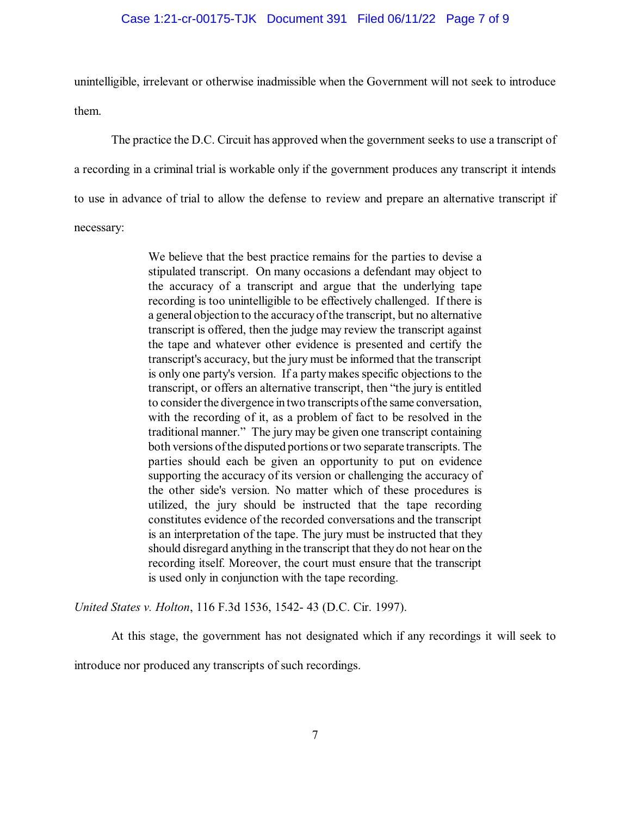### Case 1:21-cr-00175-TJK Document 391 Filed 06/11/22 Page 7 of 9

unintelligible, irrelevant or otherwise inadmissible when the Government will not seek to introduce them.

The practice the D.C. Circuit has approved when the government seeks to use a transcript of a recording in a criminal trial is workable only if the government produces any transcript it intends to use in advance of trial to allow the defense to review and prepare an alternative transcript if necessary:

> We believe that the best practice remains for the parties to devise a stipulated transcript. On many occasions a defendant may object to the accuracy of a transcript and argue that the underlying tape recording is too unintelligible to be effectively challenged. If there is a general objection to the accuracy ofthe transcript, but no alternative transcript is offered, then the judge may review the transcript against the tape and whatever other evidence is presented and certify the transcript's accuracy, but the jury must be informed that the transcript is only one party's version. If a party makes specific objections to the transcript, or offers an alternative transcript, then "the jury is entitled to consider the divergence in two transcripts ofthe same conversation, with the recording of it, as a problem of fact to be resolved in the traditional manner." The jury may be given one transcript containing both versions ofthe disputed portions or two separate transcripts. The parties should each be given an opportunity to put on evidence supporting the accuracy of its version or challenging the accuracy of the other side's version. No matter which of these procedures is utilized, the jury should be instructed that the tape recording constitutes evidence of the recorded conversations and the transcript is an interpretation of the tape. The jury must be instructed that they should disregard anything in the transcript that they do not hear on the recording itself. Moreover, the court must ensure that the transcript is used only in conjunction with the tape recording.

*United States v. Holton*, 116 F.3d 1536, 1542- 43 (D.C. Cir. 1997).

At this stage, the government has not designated which if any recordings it will seek to

introduce nor produced any transcripts of such recordings.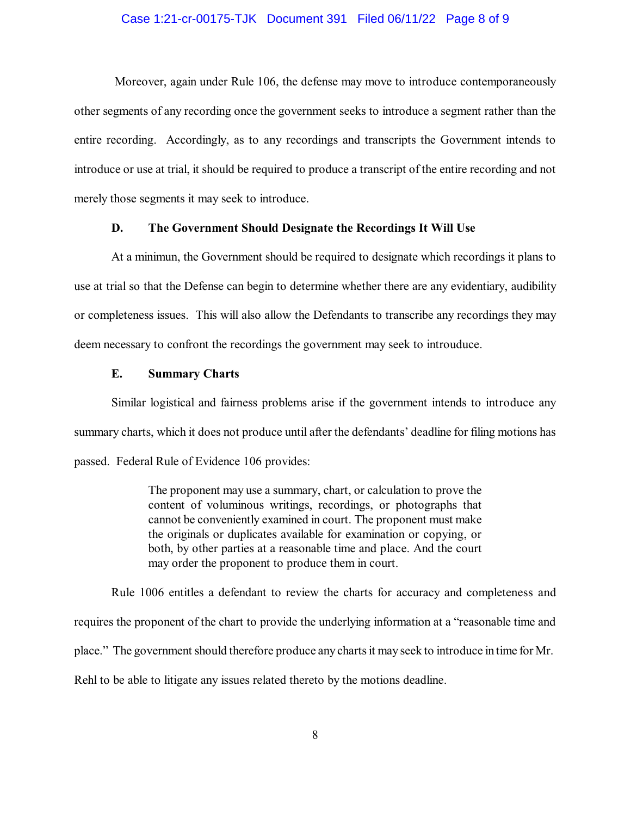#### Case 1:21-cr-00175-TJK Document 391 Filed 06/11/22 Page 8 of 9

Moreover, again under Rule 106, the defense may move to introduce contemporaneously other segments of any recording once the government seeks to introduce a segment rather than the entire recording. Accordingly, as to any recordings and transcripts the Government intends to introduce or use at trial, it should be required to produce a transcript of the entire recording and not merely those segments it may seek to introduce.

## **D. The Government Should Designate the Recordings It Will Use**

At a minimun, the Government should be required to designate which recordings it plans to use at trial so that the Defense can begin to determine whether there are any evidentiary, audibility or completeness issues. This will also allow the Defendants to transcribe any recordings they may deem necessary to confront the recordings the government may seek to introuduce.

## **E. Summary Charts**

Similar logistical and fairness problems arise if the government intends to introduce any summary charts, which it does not produce until after the defendants' deadline for filing motions has passed. Federal Rule of Evidence 106 provides:

> The proponent may use a summary, chart, or calculation to prove the content of voluminous writings, recordings, or photographs that cannot be conveniently examined in court. The proponent must make the originals or duplicates available for examination or copying, or both, by other parties at a reasonable time and place. And the court may order the proponent to produce them in court.

Rule 1006 entitles a defendant to review the charts for accuracy and completeness and requires the proponent of the chart to provide the underlying information at a "reasonable time and place." The government should therefore produce any chartsit may seek to introduce in time for Mr. Rehl to be able to litigate any issues related thereto by the motions deadline.